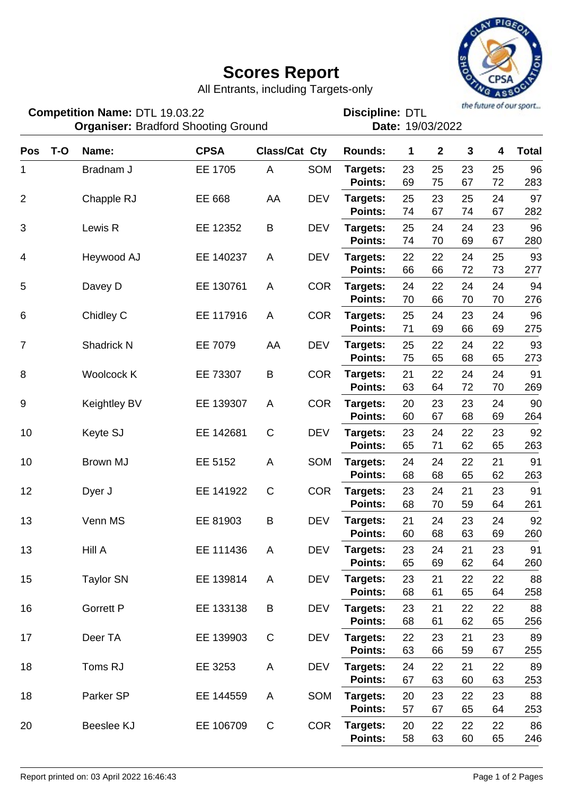## **Scores Report**



All Entrants, including Targets-only

DTL 19.03.22 DTL **Discipline: Organiser: Bradford Shooting Ground The Contract Cate: 19/03/2022 Competition Name:**

| $T-O$<br><b>Pos</b> | Name:            | <b>CPSA</b> | <b>Class/Cat Cty</b> |            | <b>Rounds:</b>             | 1        | $\mathbf 2$ | $\mathbf{3}$ | 4        | <b>Total</b> |
|---------------------|------------------|-------------|----------------------|------------|----------------------------|----------|-------------|--------------|----------|--------------|
| 1                   | Bradnam J        | EE 1705     | A                    | SOM        | Targets:                   | 23       | 25          | 23           | 25       | 96           |
|                     |                  |             |                      |            | <b>Points:</b>             | 69       | 75          | 67           | 72       | 283          |
| $\overline{2}$      | Chapple RJ       | EE 668      | AA                   | <b>DEV</b> | Targets:                   | 25       | 23          | 25           | 24       | 97           |
|                     |                  |             |                      |            | <b>Points:</b>             | 74       | 67          | 74           | 67       | 282          |
| $\sqrt{3}$<br>4     | Lewis R          | EE 12352    | B                    | <b>DEV</b> | Targets:                   | 25       | 24          | 24           | 23       | 96           |
|                     |                  |             |                      |            | <b>Points:</b>             | 74       | 70          | 69           | 67       | 280          |
|                     | Heywood AJ       | EE 140237   | A                    | <b>DEV</b> | Targets:                   | 22       | 22          | 24           | 25       | 93           |
|                     |                  |             |                      |            | <b>Points:</b>             | 66       | 66          | 72           | 73       | 277          |
| 5                   | Davey D          | EE 130761   | A                    | <b>COR</b> | Targets:                   | 24<br>70 | 22<br>66    | 24           | 24<br>70 | 94           |
|                     |                  |             |                      |            | <b>Points:</b>             |          |             | 70           |          | 276          |
| 6                   | Chidley C        | EE 117916   | A                    | <b>COR</b> | Targets:<br><b>Points:</b> | 25<br>71 | 24<br>69    | 23<br>66     | 24<br>69 | 96<br>275    |
| $\overline{7}$      | Shadrick N       | EE 7079     | AA                   | <b>DEV</b> | Targets:                   | 25       | 22          | 24           | 22       | 93           |
|                     |                  |             |                      |            | <b>Points:</b>             | 75       | 65          | 68           | 65       | 273          |
| 8                   | Woolcock K       | EE 73307    | B                    | <b>COR</b> | Targets:                   | 21       | 22          | 24           | 24       | 91           |
|                     |                  |             |                      |            | Points:                    | 63       | 64          | 72           | 70       | 269          |
| 9                   | Keightley BV     | EE 139307   | A                    | <b>COR</b> | Targets:                   | 20       | 23          | 23           | 24       | 90           |
|                     |                  |             |                      |            | <b>Points:</b>             | 60       | 67          | 68           | 69       | 264          |
| 10                  | Keyte SJ         | EE 142681   | $\mathsf C$          | <b>DEV</b> | Targets:                   | 23       | 24          | 22           | 23       | 92           |
|                     |                  |             |                      |            | <b>Points:</b>             | 65       | 71          | 62           | 65       | 263          |
| 10                  | Brown MJ         | EE 5152     | A                    | SOM        | Targets:                   | 24       | 24          | 22           | 21       | 91           |
|                     |                  |             |                      |            | Points:                    | 68       | 68          | 65           | 62       | 263          |
| 12                  | Dyer J           | EE 141922   | $\mathsf C$          | <b>COR</b> | Targets:                   | 23       | 24          | 21           | 23       | 91           |
|                     |                  |             |                      |            | <b>Points:</b>             | 68       | 70          | 59           | 64       | 261          |
| 13                  | Venn MS          | EE 81903    | B                    | <b>DEV</b> | Targets:                   | 21       | 24          | 23           | 24       | 92           |
|                     |                  |             |                      |            | <b>Points:</b>             | 60       | 68          | 63           | 69       | 260          |
| 13                  | Hill A           | EE 111436   | Α                    | <b>DEV</b> | Targets:                   | 23       | 24          | 21           | 23       | 91           |
|                     |                  |             |                      |            | Points:                    | 65       | 69          | 62           | 64       | 260          |
| 15                  | <b>Taylor SN</b> | EE 139814   | A                    | <b>DEV</b> | Targets:                   | 23       | 21          | 22           | 22       | 88           |
|                     |                  |             |                      |            | Points:                    | 68       | 61          | 65           | 64       | 258          |
| 16                  | <b>Gorrett P</b> | EE 133138   | B                    | <b>DEV</b> | Targets:<br>Points:        | 23<br>68 | 21<br>61    | 22<br>62     | 22<br>65 | 88<br>256    |
|                     |                  |             |                      |            |                            |          |             |              |          |              |
| 17                  | Deer TA          | EE 139903   | $\mathbf C$          | <b>DEV</b> | Targets:<br>Points:        | 22<br>63 | 23<br>66    | 21<br>59     | 23<br>67 | 89<br>255    |
| 18                  | Toms RJ          | EE 3253     | Α                    | <b>DEV</b> | Targets:                   | 24       | 22          | 21           | 22       | 89           |
|                     |                  |             |                      |            | Points:                    | 67       | 63          | 60           | 63       | 253          |
| 18                  | Parker SP        | EE 144559   | A                    | SOM        | Targets:                   | 20       | 23          | 22           | 23       | 88           |
|                     |                  |             |                      |            | <b>Points:</b>             | 57       | 67          | 65           | 64       | 253          |
| 20                  | Beeslee KJ       | EE 106709   | $\mathsf C$          | <b>COR</b> | Targets:                   | 20       | 22          | 22           | 22       | 86           |
|                     |                  |             |                      |            | Points:                    | 58       | 63          | 60           | 65       | 246          |